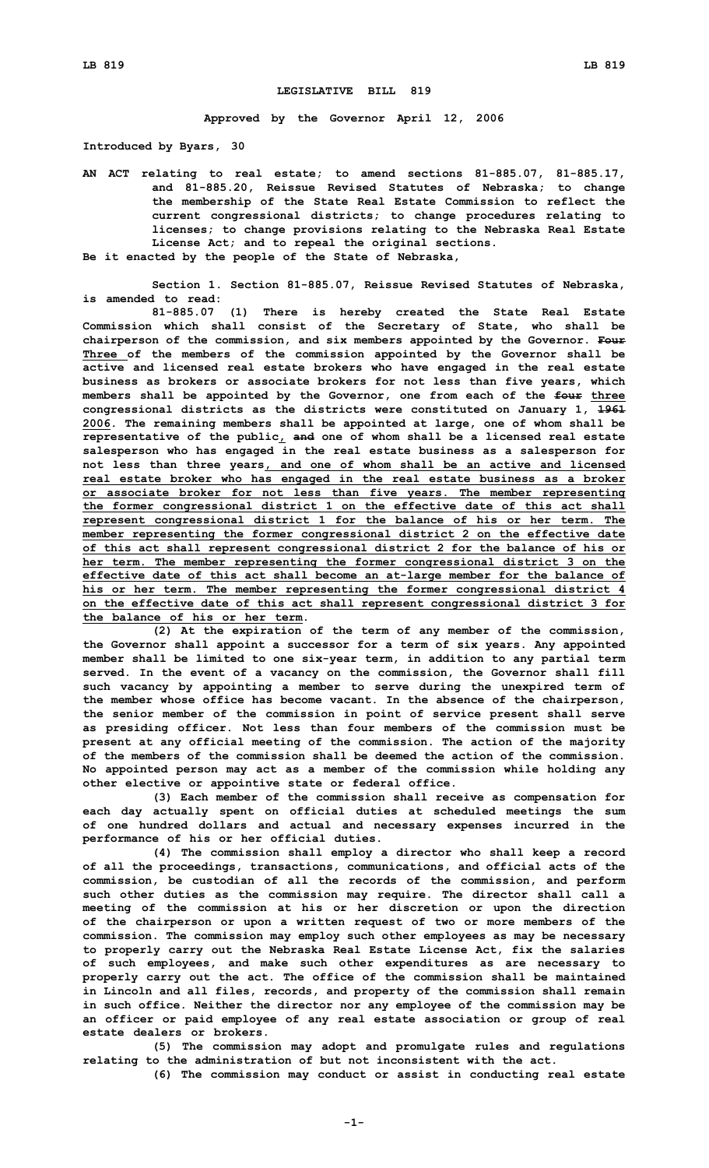## **LEGISLATIVE BILL 819**

**Approved by the Governor April 12, 2006**

**Introduced by Byars, 30**

- **AN ACT relating to real estate; to amend sections 81-885.07, 81-885.17, and 81-885.20, Reissue Revised Statutes of Nebraska; to change the membership of the State Real Estate Commission to reflect the current congressional districts; to change procedures relating to licenses; to change provisions relating to the Nebraska Real Estate License Act; and to repeal the original sections.**
- **Be it enacted by the people of the State of Nebraska,**
- **Section 1. Section 81-885.07, Reissue Revised Statutes of Nebraska, is amended to read:**

**81-885.07 (1) There is hereby created the State Real Estate Commission which shall consist of the Secretary of State, who shall be chairperson of the commission, and six members appointed by the Governor. Four Three of the members of the commission appointed by the Governor shall be active and licensed real estate brokers who have engaged in the real estate business as brokers or associate brokers for not less than five years, which members shall be appointed by the Governor, one from each of the four three congressional districts as the districts were constituted on January 1, 1961 2006. The remaining members shall be appointed at large, one of whom shall be representative of the public, and one of whom shall be <sup>a</sup> licensed real estate salesperson who has engaged in the real estate business as <sup>a</sup> salesperson for not less than three years, and one of whom shall be an active and licensed real estate broker who has engaged in the real estate business as <sup>a</sup> broker or associate broker for not less than five years. The member representing the former congressional district 1 on the effective date of this act shall represent congressional district 1 for the balance of his or her term. The member representing the former congressional district 2 on the effective date of this act shall represent congressional district 2 for the balance of his or her term. The member representing the former congressional district 3 on the effective date of this act shall become an at-large member for the balance of his or her term. The member representing the former congressional district 4 on the effective date of this act shall represent congressional district 3 for the balance of his or her term.**

**(2) At the expiration of the term of any member of the commission, the Governor shall appoint <sup>a</sup> successor for <sup>a</sup> term of six years. Any appointed member shall be limited to one six-year term, in addition to any partial term served. In the event of <sup>a</sup> vacancy on the commission, the Governor shall fill such vacancy by appointing <sup>a</sup> member to serve during the unexpired term of the member whose office has become vacant. In the absence of the chairperson, the senior member of the commission in point of service present shall serve as presiding officer. Not less than four members of the commission must be present at any official meeting of the commission. The action of the majority of the members of the commission shall be deemed the action of the commission. No appointed person may act as <sup>a</sup> member of the commission while holding any other elective or appointive state or federal office.**

**(3) Each member of the commission shall receive as compensation for each day actually spent on official duties at scheduled meetings the sum of one hundred dollars and actual and necessary expenses incurred in the performance of his or her official duties.**

**(4) The commission shall employ <sup>a</sup> director who shall keep <sup>a</sup> record of all the proceedings, transactions, communications, and official acts of the commission, be custodian of all the records of the commission, and perform such other duties as the commission may require. The director shall call <sup>a</sup> meeting of the commission at his or her discretion or upon the direction of the chairperson or upon <sup>a</sup> written request of two or more members of the commission. The commission may employ such other employees as may be necessary to properly carry out the Nebraska Real Estate License Act, fix the salaries of such employees, and make such other expenditures as are necessary to properly carry out the act. The office of the commission shall be maintained in Lincoln and all files, records, and property of the commission shall remain in such office. Neither the director nor any employee of the commission may be an officer or paid employee of any real estate association or group of real estate dealers or brokers.**

**(5) The commission may adopt and promulgate rules and regulations relating to the administration of but not inconsistent with the act.**

**(6) The commission may conduct or assist in conducting real estate**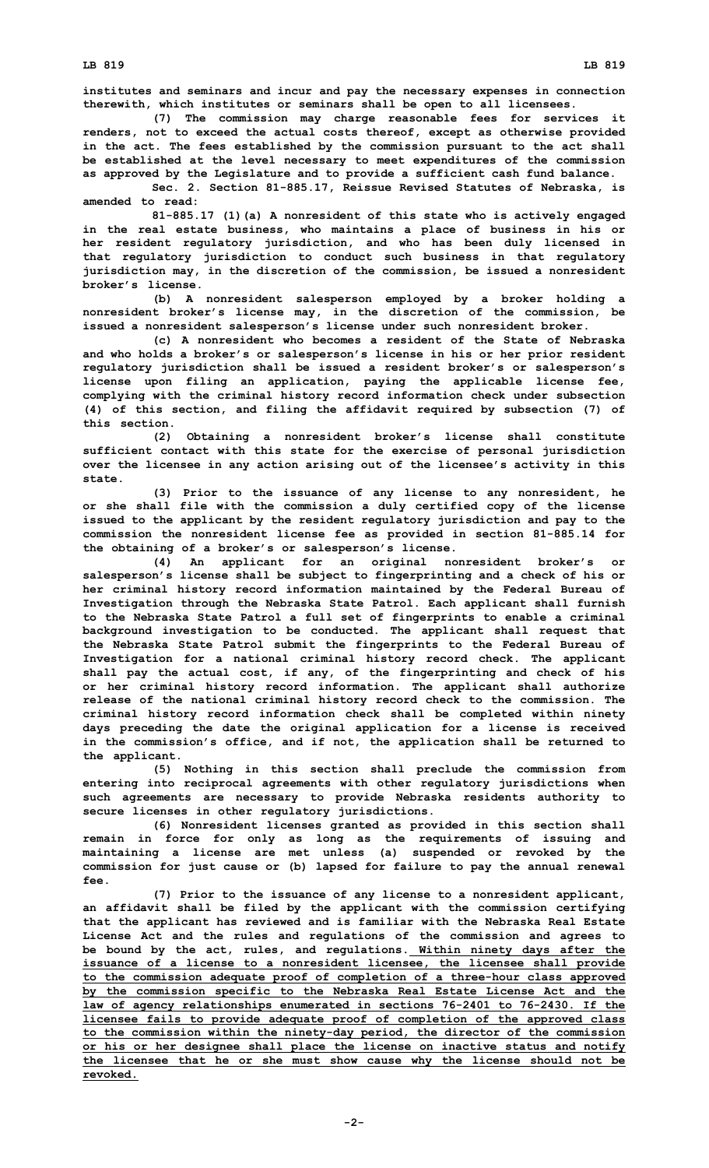**institutes and seminars and incur and pay the necessary expenses in connection therewith, which institutes or seminars shall be open to all licensees.**

**(7) The commission may charge reasonable fees for services it renders, not to exceed the actual costs thereof, except as otherwise provided in the act. The fees established by the commission pursuant to the act shall be established at the level necessary to meet expenditures of the commission as approved by the Legislature and to provide <sup>a</sup> sufficient cash fund balance.**

**Sec. 2. Section 81-885.17, Reissue Revised Statutes of Nebraska, is amended to read:**

**81-885.17 (1)(a) <sup>A</sup> nonresident of this state who is actively engaged in the real estate business, who maintains <sup>a</sup> place of business in his or her resident regulatory jurisdiction, and who has been duly licensed in that regulatory jurisdiction to conduct such business in that regulatory jurisdiction may, in the discretion of the commission, be issued <sup>a</sup> nonresident broker's license.**

**(b) <sup>A</sup> nonresident salesperson employed by <sup>a</sup> broker holding <sup>a</sup> nonresident broker's license may, in the discretion of the commission, be issued <sup>a</sup> nonresident salesperson's license under such nonresident broker.**

**(c) A nonresident who becomes <sup>a</sup> resident of the State of Nebraska and who holds <sup>a</sup> broker's or salesperson's license in his or her prior resident regulatory jurisdiction shall be issued <sup>a</sup> resident broker's or salesperson's license upon filing an application, paying the applicable license fee, complying with the criminal history record information check under subsection (4) of this section, and filing the affidavit required by subsection (7) of this section.**

**(2) Obtaining <sup>a</sup> nonresident broker's license shall constitute sufficient contact with this state for the exercise of personal jurisdiction over the licensee in any action arising out of the licensee's activity in this state.**

**(3) Prior to the issuance of any license to any nonresident, he or she shall file with the commission <sup>a</sup> duly certified copy of the license issued to the applicant by the resident regulatory jurisdiction and pay to the commission the nonresident license fee as provided in section 81-885.14 for the obtaining of <sup>a</sup> broker's or salesperson's license.**

**(4) An applicant for an original nonresident broker's or salesperson's license shall be subject to fingerprinting and <sup>a</sup> check of his or her criminal history record information maintained by the Federal Bureau of Investigation through the Nebraska State Patrol. Each applicant shall furnish to the Nebraska State Patrol <sup>a</sup> full set of fingerprints to enable <sup>a</sup> criminal background investigation to be conducted. The applicant shall request that the Nebraska State Patrol submit the fingerprints to the Federal Bureau of Investigation for <sup>a</sup> national criminal history record check. The applicant shall pay the actual cost, if any, of the fingerprinting and check of his or her criminal history record information. The applicant shall authorize release of the national criminal history record check to the commission. The criminal history record information check shall be completed within ninety days preceding the date the original application for <sup>a</sup> license is received in the commission's office, and if not, the application shall be returned to the applicant.**

**(5) Nothing in this section shall preclude the commission from entering into reciprocal agreements with other regulatory jurisdictions when such agreements are necessary to provide Nebraska residents authority to secure licenses in other regulatory jurisdictions.**

**(6) Nonresident licenses granted as provided in this section shall remain in force for only as long as the requirements of issuing and maintaining <sup>a</sup> license are met unless (a) suspended or revoked by the commission for just cause or (b) lapsed for failure to pay the annual renewal fee.**

**(7) Prior to the issuance of any license to <sup>a</sup> nonresident applicant, an affidavit shall be filed by the applicant with the commission certifying that the applicant has reviewed and is familiar with the Nebraska Real Estate License Act and the rules and regulations of the commission and agrees to be bound by the act, rules, and regulations. Within ninety days after the issuance of <sup>a</sup> license to <sup>a</sup> nonresident licensee, the licensee shall provide to the commission adequate proof of completion of <sup>a</sup> three-hour class approved by the commission specific to the Nebraska Real Estate License Act and the law of agency relationships enumerated in sections 76-2401 to 76-2430. If the licensee fails to provide adequate proof of completion of the approved class to the commission within the ninety-day period, the director of the commission or his or her designee shall place the license on inactive status and notify the licensee that he or she must show cause why the license should not be revoked.**